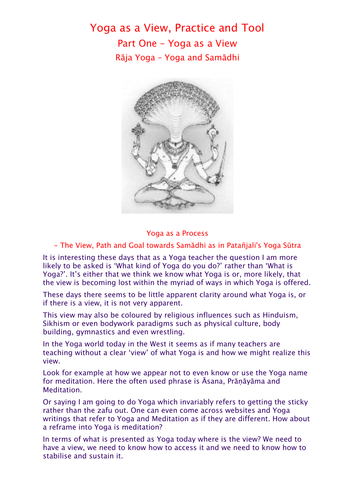Yoga as a View, Practice and Tool Part One – Yoga as a View Rāja Yoga – Yoga and Samādhi



## Yoga as a Process

## - The View, Path and Goal towards Samādhi as in Patañjali's Yoga Sūtra

It is interesting these days that as a Yoga teacher the question I am more likely to be asked is 'What kind of Yoga do you do?' rather than 'What is Yoga?'. It's either that we think we know what Yoga is or, more likely, that the view is becoming lost within the myriad of ways in which Yoga is offered.

These days there seems to be little apparent clarity around what Yoga is, or if there is a view, it is not very apparent.

This view may also be coloured by religious influences such as Hinduism, Sikhism or even bodywork paradigms such as physical culture, body building, gymnastics and even wrestling.

In the Yoga world today in the West it seems as if many teachers are teaching without a clear 'view' of what Yoga is and how we might realize this view.

Look for example at how we appear not to even know or use the Yoga name for meditation. Here the often used phrase is Āsana, Prāṇāyāma and Meditation.

Or saying I am going to do Yoga which invariably refers to getting the sticky rather than the zafu out. One can even come across websites and Yoga writings that refer to Yoga and Meditation as if they are different. How about a reframe into Yoga is meditation?

In terms of what is presented as Yoga today where is the view? We need to have a view, we need to know how to access it and we need to know how to stabilise and sustain it.